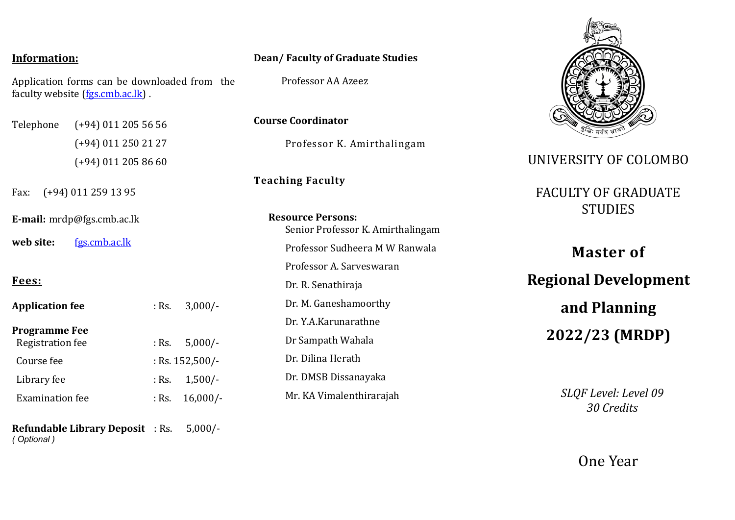#### **Information:**

Application forms can be downloaded from the faculty website [\(fgs.cmb.ac.lk\)](http://fgs.cmb.ac.lk/) .

Telephone (+94) 011 205 56 56 (+94) 011 250 21 27 (+94) 011 205 86 60

Fax: (+94) 011 259 13 95

**E-mail:** mrdp@fgs.cmb.ac.lk

**web site:** [fgs.cmb.ac.lk](http://www.cmb.ac.lk/academic/gradustd)

### **Fees:**

| <b>Application fee</b>                   |                   | : Rs. $3,000/-$   |
|------------------------------------------|-------------------|-------------------|
| <b>Programme Fee</b><br>Registration fee |                   | : Rs. $5,000/-$   |
| Course fee                               | : Rs. $152,500/-$ |                   |
| Library fee                              |                   | : Rs. $1,500/-$   |
| <b>Examination fee</b>                   |                   | : Rs. $16,000/$ - |
|                                          |                   |                   |

**Refundable Library Deposit** : Rs. 5,000/- *( Optional )*

#### **Dean/ Faculty of Graduate Studies**

Professor AA Azeez

**Course Coordinator**

Professor K. Amirthalingam

## **Teaching Faculty**

**Resource Persons:**  Senior Professor K. Amirthalingam Professor Sudheera M W Ranwala Professor A. Sarveswaran Dr. R. Senathiraja Dr. M. Ganeshamoorthy Dr. Y.A.Karunarathne Dr Sampath Wahala Dr. Dilina Herath Dr. DMSB Dissanayaka Mr. KA Vimalenthirarajah



## UNIVERSITY OF COLOMBO

# FACULTY OF GRADUATE **STUDIES**

**Master of Regional Development and Planning 2022/23 (MRDP)** 

> *SLQF Level: Level 09 30 Credits*

> > One Year